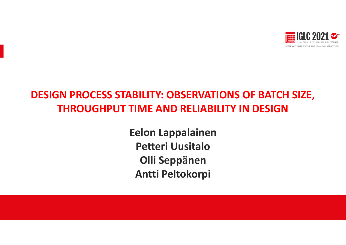

## **DESIGN PROCESS STABILITY: OBSERVATIONS OF BATCH SIZE, THROUGHPUT TIME AND RELIABILITY IN DESIGN**

**Eelon Lappalainen Petteri UusitaloOlli Seppänen Antti Peltokorpi**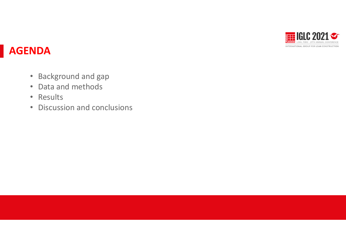

#### **AGENDA**

- Background and gap
- Data and methods
- Results
- $\bullet$ Discussion and conclusions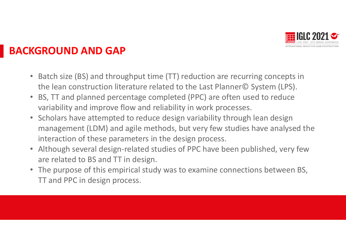

## **BACKGROUND AND GAP**

- $\bullet$ • Batch size (BS) and throughput time (TT) reduction are recurring concepts in the lean construction literature related to the Last Planner© System (LPS).
- $\bullet$  BS, TT and planned percentage completed (PPC) are often used to reduce variability and improve flow and reliability in work processes.
- Scholars have attempted to reduce design variability through lean design management (LDM) and agile methods, but very few studies have analysed the interaction of these parameters in the design process.
- Although several design‐related studies of PPC have been published, very few are related to BS and TT in design.
- The purpose of this empirical study was to examine connections between BS, TT and PPC in design process.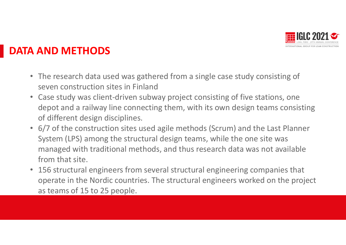

## **DATA AND METHODS**

- The research data used was gathered from <sup>a</sup> single case study consisting of seven construction sites in Finland
- Case study was client‐driven subway project consisting of five stations, one depot and <sup>a</sup> railway line connecting them, with its own design teams consisting of different design disciplines.
- 6/7 of the construction sites used agile methods (Scrum) and the Last Planner System (LPS) among the structural design teams, while the one site was managed with traditional methods, and thus research data was not available from that site.
- $\bullet$  156 structural engineers from several structural engineering companies that operate in the Nordic countries. The structural engineers worked on the project as teams of 15 to 25 people.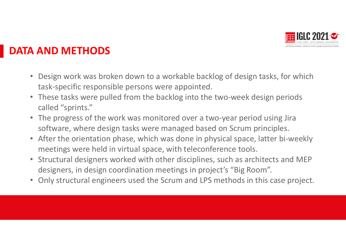

## **DATA AND METHODS**

- $\bullet$  Design work was broken down to <sup>a</sup> workable backlog of design tasks, for which task‐specific responsible persons were appointed.
- These tasks were pulled from the backlog into the two‐week design periods called "sprints."
- The progress of the work was monitored over a two-year period using Jira software, where design tasks were managed based on Scrum principles.
- After the orientation phase, which was done in physical space, latter bi-weekly meetings were held in virtual space, with teleconference tools.
- Structural designers worked with other disciplines, such as architects and MEP designers, in design coordination meetings in project's "Big Room".
- Only structural engineers used the Scrum and LPS methods in this case project.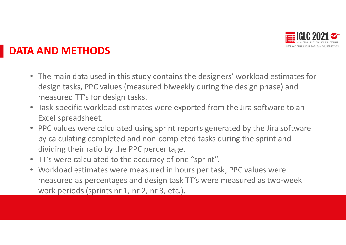

## **DATA AND METHODS**

- The main data used in this study contains the designers' workload estimates for design tasks, PPC values (measured biweekly during the design phase) and measured TT's for design tasks.
- Task‐specific workload estimates were exported from the Jira software to an Excel spreadsheet.
- PPC values were calculated using sprint reports generated by the Jira software by calculating completed and non‐completed tasks during the sprint and dividing their ratio by the PPC percentage.
- TT's were calculated to the accuracy of one "sprint".
- Workload estimates were measured in hours per task, PPC values were measured as percentages and design task TT's were measured as two‐week work periods (sprints nr 1, nr 2, nr 3, etc.).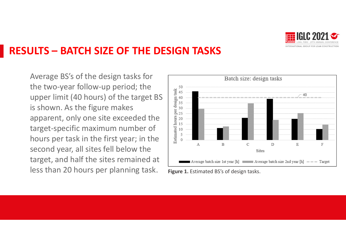

#### **RESULTS – BATCH SIZE OF THE DESIGN TASKS**

Average BS's of the design tasks for the two‐year follow‐up period; the upper limit (40 hours) of the target BS is shown. As the figure makes apparent, only one site exceeded the target‐specific maximum number of hours per task in the first year; in the second year, all sites fell below the target, and half the sites remained at less than 20 hours per planning task. **Figure 1.** Estimated BS's of design tasks.

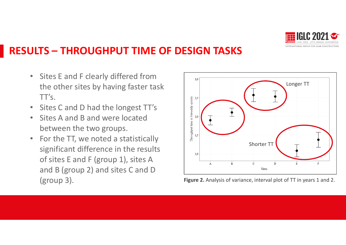

## **RESULTS – THROUGHPUT TIME OF DESIGN TASKS**

- $\bullet$ • Sites E and F clearly differed from the other sites by having faster task  $TT's.$
- •• Sites C and D had the longest TT's
- $\bullet$ • Sites A and B and were located between the two groups.
- •• For the TT, we noted a statistically significant difference in the results of sites E and F (group 1), sites A and B (group 2) and sites C and D



(group 3). **Figure 2.** Analysis of variance, interval plot of TT in years <sup>1</sup> and 2.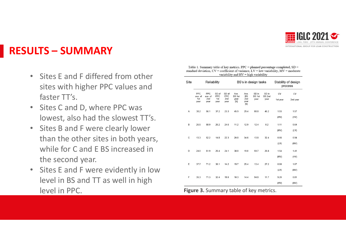

#### **RESULTS – SUMMARY**

- •• Sites E and F differed from other sites with higher PPC values and faster TT's.
- $\bullet$ • Sites C and D, where PPC was lowest, also had the slowest TT's.
- $\bullet$ • Sites B and F were clearly lower than the other sites in both years, while for C and E BS increased in the second year.
- $\bullet$ • Sites E and F were evidently in low level in BS and TT as well in high level in

| Site | Reliability                   |                                      |                             |                             | BS's in design tasks                                                                                                                                                                                                                                               |                                  |                                    |                         | Stability of design<br>process |                |
|------|-------------------------------|--------------------------------------|-----------------------------|-----------------------------|--------------------------------------------------------------------------------------------------------------------------------------------------------------------------------------------------------------------------------------------------------------------|----------------------------------|------------------------------------|-------------------------|--------------------------------|----------------|
|      | PPC<br>ave, of<br>1st<br>year | <b>PPC</b><br>ave, of<br>2nd<br>year | SD of<br>PPC<br>1st<br>year | SD of<br>PPC<br>2nd<br>year | Ave.<br><b>BS 1st</b><br>year<br>$[h] \centering% \includegraphics[width=1.0\textwidth]{Figures/PN1.png} \caption{The 3D (black) model for the $L^2$-error of the estimators in the left and right. The left and right is the same as in the right.} \label{fig5}$ | Ave.<br><b>BS</b><br>2nd<br>year | SD in<br>BS <sub>1st</sub><br>year | SD in<br>BS 2nd<br>year | CV<br>1st year                 | CV<br>2nd year |
|      |                               |                                      |                             |                             |                                                                                                                                                                                                                                                                    | [h]                              |                                    |                         |                                |                |
| Α    | 38.2                          | 56.1                                 | 37.2                        | 23.3                        | 45.9                                                                                                                                                                                                                                                               | 29.4                             | 88.8                               | 46.2                    | 1.93                           | 1.57           |
|      |                               |                                      |                             |                             |                                                                                                                                                                                                                                                                    |                                  |                                    |                         | (HV)                           | (HV)           |
| B    | 26.5                          | 58.9                                 | 26.2                        | 24.6                        | 11.2                                                                                                                                                                                                                                                               | 12.9                             | 12.4                               | 8.2                     | 1.11                           | 0.64           |
|      |                               |                                      |                             |                             |                                                                                                                                                                                                                                                                    |                                  |                                    |                         | (MV)                           | (LV)           |
| C    | 13.3                          | 52.2                                 | 14.8                        | 22.3                        | 20.8                                                                                                                                                                                                                                                               | 34.6                             | 13.8                               | 32.4                    | 0.66                           | 0.94           |
|      |                               |                                      |                             |                             |                                                                                                                                                                                                                                                                    |                                  |                                    |                         | (LV)                           | (MV)           |
| D    | 24.0                          | 51.9                                 | 26.4                        | 24.1                        | 38.8                                                                                                                                                                                                                                                               | 19.0                             | 59.7                               | 26.8                    | 1.54                           | 1.41           |
|      |                               |                                      |                             |                             |                                                                                                                                                                                                                                                                    |                                  |                                    |                         | (MV)                           | (HV)           |
| E    | 37.7                          | 71.2                                 | 36.1                        | 14.2                        | 19.7                                                                                                                                                                                                                                                               | 25.4                             | 13.4                               | 27.2                    | 0.68                           | 1.07           |
|      |                               |                                      |                             |                             |                                                                                                                                                                                                                                                                    |                                  |                                    |                         | (LV)                           | (MV)           |
|      |                               |                                      |                             |                             |                                                                                                                                                                                                                                                                    |                                  |                                    |                         |                                |                |
| F    | 35.3                          | 71.3                                 | 32.4                        | 19.0                        | 10.3                                                                                                                                                                                                                                                               | 14.4                             | 94.8                               | 11.7                    | 9.20                           | 0.81           |
|      |                               |                                      |                             |                             |                                                                                                                                                                                                                                                                    |                                  |                                    |                         | (HV)                           | (MV)           |

Table 1. Summary table of key metrics.  $PPC =$  planned percentage completed,  $SD =$ standard deviation,  $CV = coefficient$  of variance,  $LV = low$  variability,  $MV = moderate$ variability and  $HV = high$  variability

**Figure 3.** Summary table of key metrics.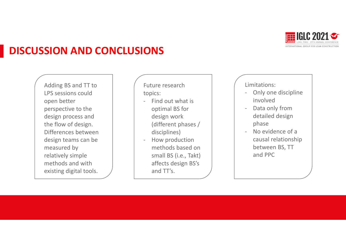

#### **DISCUSSION AND CONCLUSIONS**

Adding BS and TT to LPS sessions couldopen better perspective to the design process and the flow of design. Differences betweendesign teams can be measured by relatively simple methods and with existing digital tools.

Future researchtopics:

- ‐- Find out what is optimal BS for design work (different phases / disciplines)
- How production methods based on small BS (i.e., Takt) affects design BS's and TT's.

Limitations:

- ‐ Only one discipline involved
- ‐ Data only from detailed design phase
- ‐ No evidence of <sup>a</sup> causal relationship between BS, TT and PPC